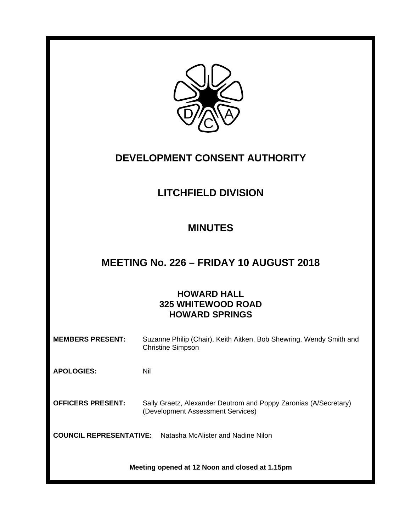

## **DEVELOPMENT CONSENT AUTHORITY**

# **LITCHFIELD DIVISION**

### **MINUTES**

### **MEETING No. 226 – FRIDAY 10 AUGUST 2018**

### **HOWARD HALL 325 WHITEWOOD ROAD HOWARD SPRINGS**

| <b>MEMBERS PRESENT:</b>                        | Suzanne Philip (Chair), Keith Aitken, Bob Shewring, Wendy Smith and<br><b>Christine Simpson</b>       |  |  |  |
|------------------------------------------------|-------------------------------------------------------------------------------------------------------|--|--|--|
| <b>APOLOGIES:</b>                              | Nil                                                                                                   |  |  |  |
| <b>OFFICERS PRESENT:</b>                       | Sally Graetz, Alexander Deutrom and Poppy Zaronias (A/Secretary)<br>(Development Assessment Services) |  |  |  |
| <b>COUNCIL REPRESENTATIVE:</b>                 | Natasha McAlister and Nadine Nilon                                                                    |  |  |  |
| Meeting opened at 12 Noon and closed at 1.15pm |                                                                                                       |  |  |  |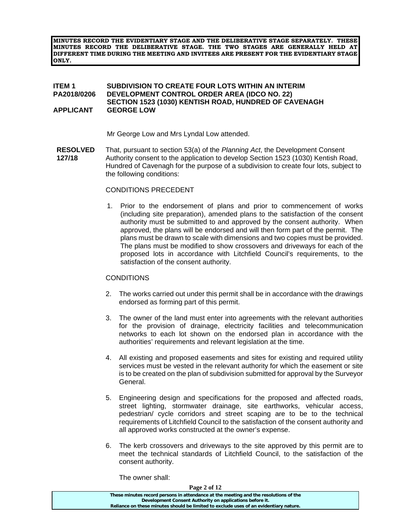**MINUTES RECORD THE EVIDENTIARY STAGE AND THE DELIBERATIVE STAGE SEPARATELY. THESE MINUTES RECORD THE DELIBERATIVE STAGE. THE TWO STAGES ARE GENERALLY HELD AT DIFFERENT TIME DURING THE MEETING AND INVITEES ARE PRESENT FOR THE EVIDENTIARY STAGE ONLY.** 

#### **ITEM 1 SUBDIVISION TO CREATE FOUR LOTS WITHIN AN INTERIM PA2018/0206 DEVELOPMENT CONTROL ORDER AREA (IDCO NO. 22) SECTION 1523 (1030) KENTISH ROAD, HUNDRED OF CAVENAGH APPLICANT GEORGE LOW**

Mr George Low and Mrs Lyndal Low attended.

**RESOLVED 127/18** That, pursuant to section 53(a) of the *Planning Act*, the Development Consent Authority consent to the application to develop Section 1523 (1030) Kentish Road, Hundred of Cavenagh for the purpose of a subdivision to create four lots, subject to the following conditions:

#### CONDITIONS PRECEDENT

1. Prior to the endorsement of plans and prior to commencement of works (including site preparation), amended plans to the satisfaction of the consent authority must be submitted to and approved by the consent authority. When approved, the plans will be endorsed and will then form part of the permit. The plans must be drawn to scale with dimensions and two copies must be provided. The plans must be modified to show crossovers and driveways for each of the proposed lots in accordance with Litchfield Council's requirements, to the satisfaction of the consent authority.

### **CONDITIONS**

- 2. The works carried out under this permit shall be in accordance with the drawings endorsed as forming part of this permit.
- 3. The owner of the land must enter into agreements with the relevant authorities for the provision of drainage, electricity facilities and telecommunication networks to each lot shown on the endorsed plan in accordance with the authorities' requirements and relevant legislation at the time.
- 4. All existing and proposed easements and sites for existing and required utility services must be vested in the relevant authority for which the easement or site is to be created on the plan of subdivision submitted for approval by the Surveyor General.
- 5. Engineering design and specifications for the proposed and affected roads, street lighting, stormwater drainage, site earthworks, vehicular access, pedestrian/ cycle corridors and street scaping are to be to the technical requirements of Litchfield Council to the satisfaction of the consent authority and all approved works constructed at the owner's expense.
- 6. The kerb crossovers and driveways to the site approved by this permit are to meet the technical standards of Litchfield Council, to the satisfaction of the consent authority.

The owner shall:

| Page 2 of 12                                                                          |  |
|---------------------------------------------------------------------------------------|--|
| These minutes record persons in attendance at the meeting and the resolutions of the  |  |
| Development Consent Authority on applications before it.                              |  |
| Reliance on these minutes should be limited to exclude uses of an evidentiary nature. |  |
|                                                                                       |  |

**Page 2**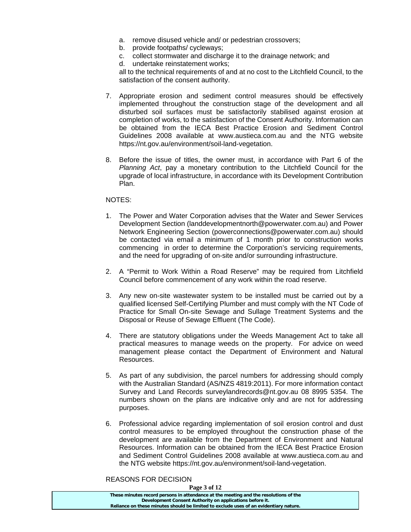- a. remove disused vehicle and/ or pedestrian crossovers;
- b. provide footpaths/ cycleways;
- c. collect stormwater and discharge it to the drainage network; and
- d. undertake reinstatement works;

all to the technical requirements of and at no cost to the Litchfield Council, to the satisfaction of the consent authority.

- 7. Appropriate erosion and sediment control measures should be effectively implemented throughout the construction stage of the development and all disturbed soil surfaces must be satisfactorily stabilised against erosion at completion of works, to the satisfaction of the Consent Authority. Information can be obtained from the IECA Best Practice Erosion and Sediment Control Guidelines 2008 available at www.austieca.com.au and the NTG website https://nt.gov.au/environment/soil-land-vegetation.
- 8. Before the issue of titles, the owner must, in accordance with Part 6 of the *Planning Act*, pay a monetary contribution to the Litchfield Council for the upgrade of local infrastructure, in accordance with its Development Contribution Plan.

### NOTES:

- 1. The Power and Water Corporation advises that the Water and Sewer Services Development Section (landdevelopmentnorth@powerwater.com.au) and Power Network Engineering Section (powerconnections@powerwater.com.au) should be contacted via email a minimum of 1 month prior to construction works commencing in order to determine the Corporation's servicing requirements, and the need for upgrading of on-site and/or surrounding infrastructure.
- 2. A "Permit to Work Within a Road Reserve" may be required from Litchfield Council before commencement of any work within the road reserve.
- 3. Any new on-site wastewater system to be installed must be carried out by a qualified licensed Self-Certifying Plumber and must comply with the NT Code of Practice for Small On-site Sewage and Sullage Treatment Systems and the Disposal or Reuse of Sewage Effluent (The Code).
- 4. There are statutory obligations under the Weeds Management Act to take all practical measures to manage weeds on the property. For advice on weed management please contact the Department of Environment and Natural Resources.
- 5. As part of any subdivision, the parcel numbers for addressing should comply with the Australian Standard (AS/NZS 4819:2011). For more information contact Survey and Land Records surveylandrecords@nt.gov.au 08 8995 5354. The numbers shown on the plans are indicative only and are not for addressing purposes.
- 6. Professional advice regarding implementation of soil erosion control and dust control measures to be employed throughout the construction phase of the development are available from the Department of Environment and Natural Resources. Information can be obtained from the IECA Best Practice Erosion and Sediment Control Guidelines 2008 available at www.austieca.com.au and the NTG website https://nt.gov.au/environment/soil-land-vegetation.

REASONS FOR DECISION

| Page 3 of 12                                                                          |  |
|---------------------------------------------------------------------------------------|--|
| These minutes record persons in attendance at the meeting and the resolutions of the  |  |
| Development Consent Authority on applications before it.                              |  |
| Reliance on these minutes should be limited to exclude uses of an evidentiary nature. |  |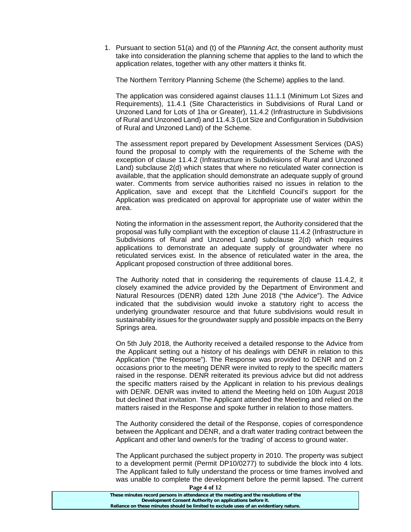1. Pursuant to section 51(a) and (t) of the *Planning Act*, the consent authority must take into consideration the planning scheme that applies to the land to which the application relates, together with any other matters it thinks fit.

The Northern Territory Planning Scheme (the Scheme) applies to the land.

The application was considered against clauses 11.1.1 (Minimum Lot Sizes and Requirements), 11.4.1 (Site Characteristics in Subdivisions of Rural Land or Unzoned Land for Lots of 1ha or Greater), 11.4.2 (Infrastructure in Subdivisions of Rural and Unzoned Land) and 11.4.3 (Lot Size and Configuration in Subdivision of Rural and Unzoned Land) of the Scheme.

The assessment report prepared by Development Assessment Services (DAS) found the proposal to comply with the requirements of the Scheme with the exception of clause 11.4.2 (Infrastructure in Subdivisions of Rural and Unzoned Land) subclause 2(d) which states that where no reticulated water connection is available, that the application should demonstrate an adequate supply of ground water. Comments from service authorities raised no issues in relation to the Application, save and except that the Litchfield Council's support for the Application was predicated on approval for appropriate use of water within the area.

Noting the information in the assessment report, the Authority considered that the proposal was fully compliant with the exception of clause 11.4.2 (Infrastructure in Subdivisions of Rural and Unzoned Land) subclause 2(d) which requires applications to demonstrate an adequate supply of groundwater where no reticulated services exist. In the absence of reticulated water in the area, the Applicant proposed construction of three additional bores.

The Authority noted that in considering the requirements of clause 11.4.2, it closely examined the advice provided by the Department of Environment and Natural Resources (DENR) dated 12th June 2018 ("the Advice"). The Advice indicated that the subdivision would invoke a statutory right to access the underlying groundwater resource and that future subdivisions would result in sustainability issues for the groundwater supply and possible impacts on the Berry Springs area.

On 5th July 2018, the Authority received a detailed response to the Advice from the Applicant setting out a history of his dealings with DENR in relation to this Application ("the Response"). The Response was provided to DENR and on 2 occasions prior to the meeting DENR were invited to reply to the specific matters raised in the response. DENR reiterated its previous advice but did not address the specific matters raised by the Applicant in relation to his previous dealings with DENR. DENR was invited to attend the Meeting held on 10th August 2018 but declined that invitation. The Applicant attended the Meeting and relied on the matters raised in the Response and spoke further in relation to those matters.

The Authority considered the detail of the Response, copies of correspondence between the Applicant and DENR, and a draft water trading contract between the Applicant and other land owner/s for the 'trading' of access to ground water.

The Applicant purchased the subject property in 2010. The property was subject to a development permit (Permit DP10/0277) to subdivide the block into 4 lots. The Applicant failed to fully understand the process or time frames involved and was unable to complete the development before the permit lapsed. The current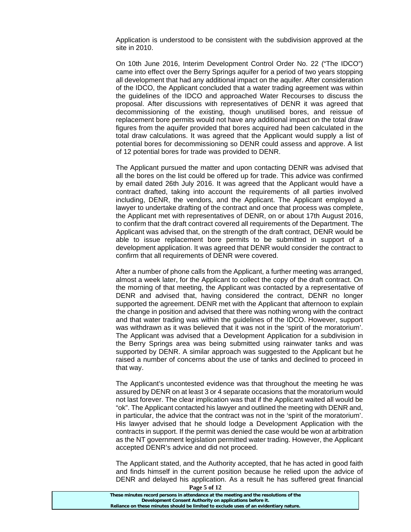Application is understood to be consistent with the subdivision approved at the site in 2010.

On 10th June 2016, Interim Development Control Order No. 22 ("The IDCO") came into effect over the Berry Springs aquifer for a period of two years stopping all development that had any additional impact on the aquifer. After consideration of the IDCO, the Applicant concluded that a water trading agreement was within the guidelines of the IDCO and approached Water Recourses to discuss the proposal. After discussions with representatives of DENR it was agreed that decommissioning of the existing, though unutilised bores, and reissue of replacement bore permits would not have any additional impact on the total draw figures from the aquifer provided that bores acquired had been calculated in the total draw calculations. It was agreed that the Applicant would supply a list of potential bores for decommissioning so DENR could assess and approve. A list of 12 potential bores for trade was provided to DENR.

The Applicant pursued the matter and upon contacting DENR was advised that all the bores on the list could be offered up for trade. This advice was confirmed by email dated 26th July 2016. It was agreed that the Applicant would have a contract drafted, taking into account the requirements of all parties involved including, DENR, the vendors, and the Applicant. The Applicant employed a lawyer to undertake drafting of the contract and once that process was complete, the Applicant met with representatives of DENR, on or about 17th August 2016, to confirm that the draft contract covered all requirements of the Department. The Applicant was advised that, on the strength of the draft contract, DENR would be able to issue replacement bore permits to be submitted in support of a development application. It was agreed that DENR would consider the contract to confirm that all requirements of DENR were covered.

After a number of phone calls from the Applicant, a further meeting was arranged, almost a week later, for the Applicant to collect the copy of the draft contract. On the morning of that meeting, the Applicant was contacted by a representative of DENR and advised that, having considered the contract, DENR no longer supported the agreement. DENR met with the Applicant that afternoon to explain the change in position and advised that there was nothing wrong with the contract and that water trading was within the guidelines of the IDCO. However, support was withdrawn as it was believed that it was not in the 'spirit of the moratorium'. The Applicant was advised that a Development Application for a subdivision in the Berry Springs area was being submitted using rainwater tanks and was supported by DENR. A similar approach was suggested to the Applicant but he raised a number of concerns about the use of tanks and declined to proceed in that way.

The Applicant's uncontested evidence was that throughout the meeting he was assured by DENR on at least 3 or 4 separate occasions that the moratorium would not last forever. The clear implication was that if the Applicant waited all would be "ok". The Applicant contacted his lawyer and outlined the meeting with DENR and, in particular, the advice that the contract was not in the 'spirit of the moratorium'. His lawyer advised that he should lodge a Development Application with the contracts in support. If the permit was denied the case would be won at arbitration as the NT government legislation permitted water trading. However, the Applicant accepted DENR's advice and did not proceed.

The Applicant stated, and the Authority accepted, that he has acted in good faith and finds himself in the current position because he relied upon the advice of DENR and delayed his application. As a result he has suffered great financial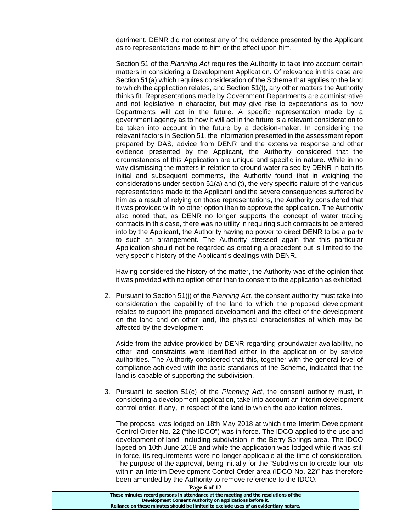detriment. DENR did not contest any of the evidence presented by the Applicant as to representations made to him or the effect upon him.

Section 51 of the *Planning Act* requires the Authority to take into account certain matters in considering a Development Application. Of relevance in this case are Section 51(a) which requires consideration of the Scheme that applies to the land to which the application relates, and Section 51(t), any other matters the Authority thinks fit. Representations made by Government Departments are administrative and not legislative in character, but may give rise to expectations as to how Departments will act in the future. A specific representation made by a government agency as to how it will act in the future is a relevant consideration to be taken into account in the future by a decision-maker. In considering the relevant factors in Section 51, the information presented in the assessment report prepared by DAS, advice from DENR and the extensive response and other evidence presented by the Applicant, the Authority considered that the circumstances of this Application are unique and specific in nature. While in no way dismissing the matters in relation to ground water raised by DENR in both its initial and subsequent comments, the Authority found that in weighing the considerations under section 51(a) and (t), the very specific nature of the various representations made to the Applicant and the severe consequences suffered by him as a result of relying on those representations, the Authority considered that it was provided with no other option than to approve the application. The Authority also noted that, as DENR no longer supports the concept of water trading contracts in this case, there was no utility in requiring such contracts to be entered into by the Applicant, the Authority having no power to direct DENR to be a party to such an arrangement. The Authority stressed again that this particular Application should not be regarded as creating a precedent but is limited to the very specific history of the Applicant's dealings with DENR.

Having considered the history of the matter, the Authority was of the opinion that it was provided with no option other than to consent to the application as exhibited.

2. Pursuant to Section 51(j) of the *Planning Act*, the consent authority must take into consideration the capability of the land to which the proposed development relates to support the proposed development and the effect of the development on the land and on other land, the physical characteristics of which may be affected by the development.

Aside from the advice provided by DENR regarding groundwater availability, no other land constraints were identified either in the application or by service authorities. The Authority considered that this, together with the general level of compliance achieved with the basic standards of the Scheme, indicated that the land is capable of supporting the subdivision.

3. Pursuant to section 51(c) of the *Planning Act*, the consent authority must, in considering a development application, take into account an interim development control order, if any, in respect of the land to which the application relates.

The proposal was lodged on 18th May 2018 at which time Interim Development Control Order No. 22 ("the IDCO") was in force. The IDCO applied to the use and development of land, including subdivision in the Berry Springs area. The IDCO lapsed on 10th June 2018 and while the application was lodged while it was still in force, its requirements were no longer applicable at the time of consideration. The purpose of the approval, being initially for the "Subdivision to create four lots within an Interim Development Control Order area (IDCO No. 22)" has therefore been amended by the Authority to remove reference to the IDCO.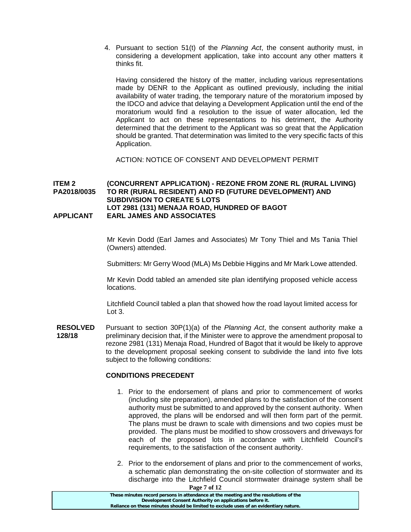4. Pursuant to section 51(t) of the *Planning Act*, the consent authority must, in considering a development application, take into account any other matters it thinks fit.

Having considered the history of the matter, including various representations made by DENR to the Applicant as outlined previously, including the initial availability of water trading, the temporary nature of the moratorium imposed by the IDCO and advice that delaying a Development Application until the end of the moratorium would find a resolution to the issue of water allocation, led the Applicant to act on these representations to his detriment, the Authority determined that the detriment to the Applicant was so great that the Application should be granted. That determination was limited to the very specific facts of this Application.

ACTION: NOTICE OF CONSENT AND DEVELOPMENT PERMIT

#### **ITEM 2 (CONCURRENT APPLICATION) - REZONE FROM ZONE RL (RURAL LIVING) PA2018/0035 TO RR (RURAL RESIDENT) AND FD (FUTURE DEVELOPMENT) AND SUBDIVISION TO CREATE 5 LOTS LOT 2981 (131) MENAJA ROAD, HUNDRED OF BAGOT APPLICANT EARL JAMES AND ASSOCIATES**

 Mr Kevin Dodd (Earl James and Associates) Mr Tony Thiel and Ms Tania Thiel (Owners) attended.

Submitters: Mr Gerry Wood (MLA) Ms Debbie Higgins and Mr Mark Lowe attended.

 Mr Kevin Dodd tabled an amended site plan identifying proposed vehicle access locations.

 Litchfield Council tabled a plan that showed how the road layout limited access for Lot 3.

**RESOLVED 128/18**  Pursuant to section 30P(1)(a) of the *Planning Act*, the consent authority make a preliminary decision that, if the Minister were to approve the amendment proposal to rezone 2981 (131) Menaja Road, Hundred of Bagot that it would be likely to approve to the development proposal seeking consent to subdivide the land into five lots subject to the following conditions:

### **CONDITIONS PRECEDENT**

- 1. Prior to the endorsement of plans and prior to commencement of works (including site preparation), amended plans to the satisfaction of the consent authority must be submitted to and approved by the consent authority. When approved, the plans will be endorsed and will then form part of the permit. The plans must be drawn to scale with dimensions and two copies must be provided. The plans must be modified to show crossovers and driveways for each of the proposed lots in accordance with Litchfield Council's requirements, to the satisfaction of the consent authority.
- 2. Prior to the endorsement of plans and prior to the commencement of works, a schematic plan demonstrating the on-site collection of stormwater and its discharge into the Litchfield Council stormwater drainage system shall be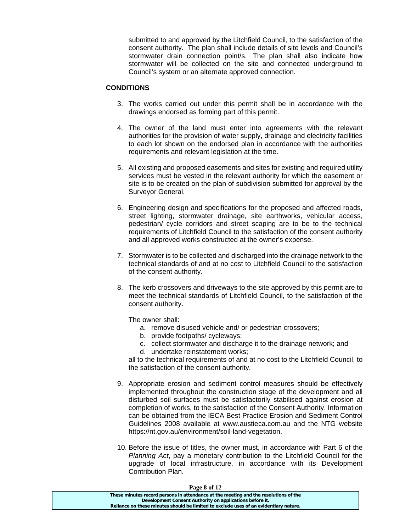submitted to and approved by the Litchfield Council, to the satisfaction of the consent authority. The plan shall include details of site levels and Council's stormwater drain connection point/s. The plan shall also indicate how stormwater will be collected on the site and connected underground to Council's system or an alternate approved connection.

#### **CONDITIONS**

- 3. The works carried out under this permit shall be in accordance with the drawings endorsed as forming part of this permit.
- 4. The owner of the land must enter into agreements with the relevant authorities for the provision of water supply, drainage and electricity facilities to each lot shown on the endorsed plan in accordance with the authorities requirements and relevant legislation at the time.
- 5. All existing and proposed easements and sites for existing and required utility services must be vested in the relevant authority for which the easement or site is to be created on the plan of subdivision submitted for approval by the Surveyor General.
- 6. Engineering design and specifications for the proposed and affected roads, street lighting, stormwater drainage, site earthworks, vehicular access, pedestrian/ cycle corridors and street scaping are to be to the technical requirements of Litchfield Council to the satisfaction of the consent authority and all approved works constructed at the owner's expense.
- 7. Stormwater is to be collected and discharged into the drainage network to the technical standards of and at no cost to Litchfield Council to the satisfaction of the consent authority.
- 8. The kerb crossovers and driveways to the site approved by this permit are to meet the technical standards of Litchfield Council, to the satisfaction of the consent authority.

The owner shall:

- a. remove disused vehicle and/ or pedestrian crossovers;
- b. provide footpaths/ cycleways;
- c. collect stormwater and discharge it to the drainage network; and
- d. undertake reinstatement works;

all to the technical requirements of and at no cost to the Litchfield Council, to the satisfaction of the consent authority.

- 9. Appropriate erosion and sediment control measures should be effectively implemented throughout the construction stage of the development and all disturbed soil surfaces must be satisfactorily stabilised against erosion at completion of works, to the satisfaction of the Consent Authority. Information can be obtained from the IECA Best Practice Erosion and Sediment Control Guidelines 2008 available at www.austieca.com.au and the NTG website https://nt.gov.au/environment/soil-land-vegetation.
- 10. Before the issue of titles, the owner must, in accordance with Part 6 of the *Planning Act*, pay a monetary contribution to the Litchfield Council for the upgrade of local infrastructure, in accordance with its Development Contribution Plan.

| Page 8 of 12                                                                          |  |
|---------------------------------------------------------------------------------------|--|
| These minutes record persons in attendance at the meeting and the resolutions of the  |  |
| Development Consent Authority on applications before it.                              |  |
| Reliance on these minutes should be limited to exclude uses of an evidentiary nature. |  |
|                                                                                       |  |

**Page 8 of 12**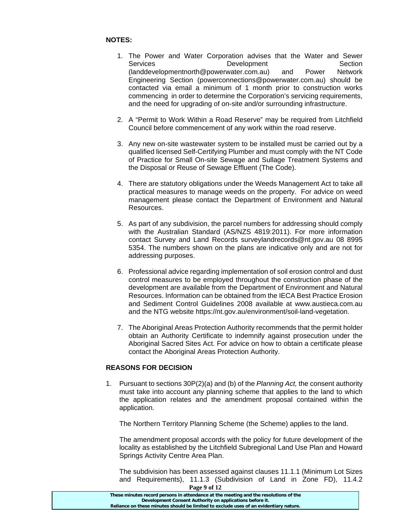### **NOTES:**

- 1. The Power and Water Corporation advises that the Water and Sewer Services **Development** Development Section (landdevelopmentnorth@powerwater.com.au) and Power Network Engineering Section (powerconnections@powerwater.com.au) should be contacted via email a minimum of 1 month prior to construction works commencing in order to determine the Corporation's servicing requirements, and the need for upgrading of on-site and/or surrounding infrastructure.
- 2. A "Permit to Work Within a Road Reserve" may be required from Litchfield Council before commencement of any work within the road reserve.
- 3. Any new on-site wastewater system to be installed must be carried out by a qualified licensed Self-Certifying Plumber and must comply with the NT Code of Practice for Small On-site Sewage and Sullage Treatment Systems and the Disposal or Reuse of Sewage Effluent (The Code).
- 4. There are statutory obligations under the Weeds Management Act to take all practical measures to manage weeds on the property. For advice on weed management please contact the Department of Environment and Natural Resources.
- 5. As part of any subdivision, the parcel numbers for addressing should comply with the Australian Standard (AS/NZS 4819:2011). For more information contact Survey and Land Records surveylandrecords@nt.gov.au 08 8995 5354. The numbers shown on the plans are indicative only and are not for addressing purposes.
- 6. Professional advice regarding implementation of soil erosion control and dust control measures to be employed throughout the construction phase of the development are available from the Department of Environment and Natural Resources. Information can be obtained from the IECA Best Practice Erosion and Sediment Control Guidelines 2008 available at www.austieca.com.au and the NTG website https://nt.gov.au/environment/soil-land-vegetation.
- 7. The Aboriginal Areas Protection Authority recommends that the permit holder obtain an Authority Certificate to indemnify against prosecution under the Aboriginal Sacred Sites Act. For advice on how to obtain a certificate please contact the Aboriginal Areas Protection Authority.

### **REASONS FOR DECISION**

1. Pursuant to sections 30P(2)(a) and (b) of the *Planning Act,* the consent authority must take into account any planning scheme that applies to the land to which the application relates and the amendment proposal contained within the application.

The Northern Territory Planning Scheme (the Scheme) applies to the land.

The amendment proposal accords with the policy for future development of the locality as established by the Litchfield Subregional Land Use Plan and Howard Springs Activity Centre Area Plan.

The subdivision has been assessed against clauses 11.1.1 (Minimum Lot Sizes and Requirements), 11.1.3 (Subdivision of Land in Zone FD), 11.4.2

| Page 9 of 12                                                                          |  |
|---------------------------------------------------------------------------------------|--|
| These minutes record persons in attendance at the meeting and the resolutions of the  |  |
| Development Consent Authority on applications before it.                              |  |
| Reliance on these minutes should be limited to exclude uses of an evidentiary nature. |  |
|                                                                                       |  |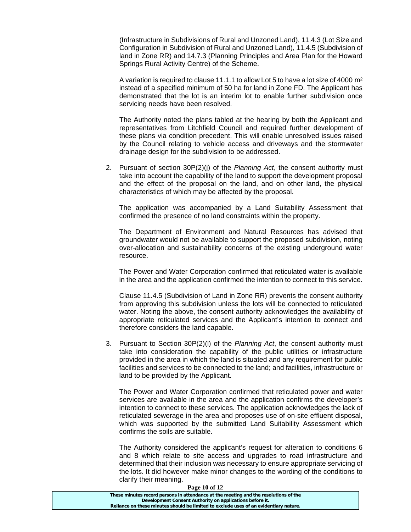(Infrastructure in Subdivisions of Rural and Unzoned Land), 11.4.3 (Lot Size and Configuration in Subdivision of Rural and Unzoned Land), 11.4.5 (Subdivision of land in Zone RR) and 14.7.3 (Planning Principles and Area Plan for the Howard Springs Rural Activity Centre) of the Scheme.

A variation is required to clause 11.1.1 to allow Lot 5 to have a lot size of 4000 m² instead of a specified minimum of 50 ha for land in Zone FD. The Applicant has demonstrated that the lot is an interim lot to enable further subdivision once servicing needs have been resolved.

The Authority noted the plans tabled at the hearing by both the Applicant and representatives from Litchfield Council and required further development of these plans via condition precedent. This will enable unresolved issues raised by the Council relating to vehicle access and driveways and the stormwater drainage design for the subdivision to be addressed.

2. Pursuant of section 30P(2)(j) of the *Planning Act*, the consent authority must take into account the capability of the land to support the development proposal and the effect of the proposal on the land, and on other land, the physical characteristics of which may be affected by the proposal.

The application was accompanied by a Land Suitability Assessment that confirmed the presence of no land constraints within the property.

The Department of Environment and Natural Resources has advised that groundwater would not be available to support the proposed subdivision, noting over-allocation and sustainability concerns of the existing underground water resource.

The Power and Water Corporation confirmed that reticulated water is available in the area and the application confirmed the intention to connect to this service.

Clause 11.4.5 (Subdivision of Land in Zone RR) prevents the consent authority from approving this subdivision unless the lots will be connected to reticulated water. Noting the above, the consent authority acknowledges the availability of appropriate reticulated services and the Applicant's intention to connect and therefore considers the land capable.

3. Pursuant to Section 30P(2)(l) of the *Planning Act*, the consent authority must take into consideration the capability of the public utilities or infrastructure provided in the area in which the land is situated and any requirement for public facilities and services to be connected to the land; and facilities, infrastructure or land to be provided by the Applicant.

The Power and Water Corporation confirmed that reticulated power and water services are available in the area and the application confirms the developer's intention to connect to these services. The application acknowledges the lack of reticulated sewerage in the area and proposes use of on-site effluent disposal, which was supported by the submitted Land Suitability Assessment which confirms the soils are suitable.

The Authority considered the applicant's request for alteration to conditions 6 and 8 which relate to site access and upgrades to road infrastructure and determined that their inclusion was necessary to ensure appropriate servicing of the lots. It did however make minor changes to the wording of the conditions to clarify their meaning.

| Page 10 of 12                                                                         |  |
|---------------------------------------------------------------------------------------|--|
| These minutes record persons in attendance at the meeting and the resolutions of the  |  |
| Development Consent Authority on applications before it.                              |  |
| Reliance on these minutes should be limited to exclude uses of an evidentiary nature. |  |
|                                                                                       |  |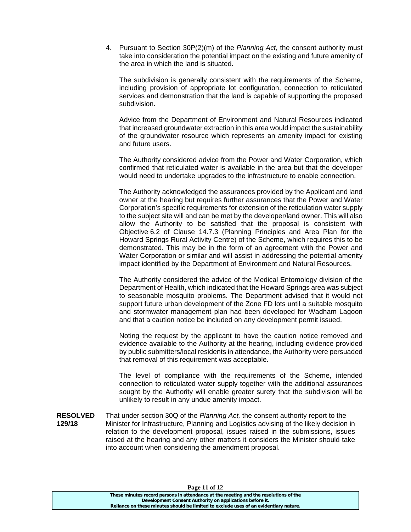4. Pursuant to Section 30P(2)(m) of the *Planning Act*, the consent authority must take into consideration the potential impact on the existing and future amenity of the area in which the land is situated.

The subdivision is generally consistent with the requirements of the Scheme, including provision of appropriate lot configuration, connection to reticulated services and demonstration that the land is capable of supporting the proposed subdivision.

Advice from the Department of Environment and Natural Resources indicated that increased groundwater extraction in this area would impact the sustainability of the groundwater resource which represents an amenity impact for existing and future users.

The Authority considered advice from the Power and Water Corporation, which confirmed that reticulated water is available in the area but that the developer would need to undertake upgrades to the infrastructure to enable connection.

The Authority acknowledged the assurances provided by the Applicant and land owner at the hearing but requires further assurances that the Power and Water Corporation's specific requirements for extension of the reticulation water supply to the subject site will and can be met by the developer/land owner. This will also allow the Authority to be satisfied that the proposal is consistent with Objective 6.2 of Clause 14.7.3 (Planning Principles and Area Plan for the Howard Springs Rural Activity Centre) of the Scheme, which requires this to be demonstrated. This may be in the form of an agreement with the Power and Water Corporation or similar and will assist in addressing the potential amenity impact identified by the Department of Environment and Natural Resources.

The Authority considered the advice of the Medical Entomology division of the Department of Health, which indicated that the Howard Springs area was subject to seasonable mosquito problems. The Department advised that it would not support future urban development of the Zone FD lots until a suitable mosquito and stormwater management plan had been developed for Wadham Lagoon and that a caution notice be included on any development permit issued.

Noting the request by the applicant to have the caution notice removed and evidence available to the Authority at the hearing, including evidence provided by public submitters/local residents in attendance, the Authority were persuaded that removal of this requirement was acceptable.

The level of compliance with the requirements of the Scheme, intended connection to reticulated water supply together with the additional assurances sought by the Authority will enable greater surety that the subdivision will be unlikely to result in any undue amenity impact.

**RESOLVED 129/18** That under section 30Q of the *Planning Act,* the consent authority report to the Minister for Infrastructure, Planning and Logistics advising of the likely decision in relation to the development proposal, issues raised in the submissions, issues raised at the hearing and any other matters it considers the Minister should take into account when considering the amendment proposal.

#### **Page 11 of 12**